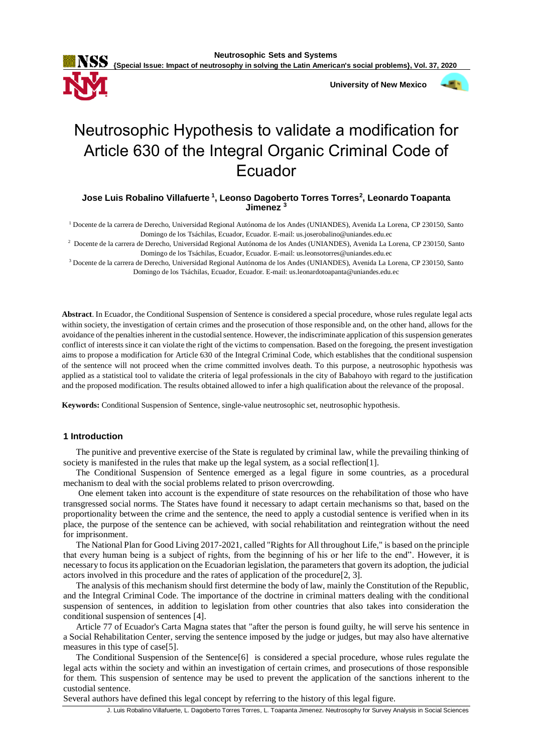

 **University of New Mexico**



# Neutrosophic Hypothesis to validate a modification for Article 630 of the Integral Organic Criminal Code of Ecuador

# **Jose Luis Robalino Villafuerte<sup>1</sup> , Leonso Dagoberto Torres Torres<sup>2</sup> , Leonardo Toapanta Jimenez <sup>3</sup>**

<sup>1</sup> Docente de la carrera de Derecho, Universidad Regional Autónoma de los Andes (UNIANDES), Avenida La Lorena, CP 230150, Santo Domingo de los Tsáchilas, Ecuador, Ecuador. E-mail: us.joserobalino@uniandes.edu.ec

2 Docente de la carrera de Derecho, Universidad Regional Autónoma de los Andes (UNIANDES), Avenida La Lorena, CP 230150, Santo Domingo de los Tsáchilas, Ecuador, Ecuador. E-mail: us.leonsotorres@uniandes.edu.ec

<sup>3</sup> Docente de la carrera de Derecho, Universidad Regional Autónoma de los Andes (UNIANDES), Avenida La Lorena, CP 230150, Santo Domingo de los Tsáchilas, Ecuador, Ecuador. E-mail: us.leonardotoapanta@uniandes.edu.ec

**Abstract**. In Ecuador, the Conditional Suspension of Sentence is considered a special procedure, whose rules regulate legal acts within society, the investigation of certain crimes and the prosecution of those responsible and, on the other hand, allows for the avoidance of the penalties inherent in the custodial sentence. However, the indiscriminate application of this suspension generates conflict of interests since it can violate the right of the victims to compensation. Based on the foregoing, the present investigation aims to propose a modification for Article 630 of the Integral Criminal Code, which establishes that the conditional suspension of the sentence will not proceed when the crime committed involves death. To this purpose, a neutrosophic hypothesis was applied as a statistical tool to validate the criteria of legal professionals in the city of Babahoyo with regard to the justification and the proposed modification. The results obtained allowed to infer a high qualification about the relevance of the proposal.

**Keywords:** Conditional Suspension of Sentence, single-value neutrosophic set, neutrosophic hypothesis.

## **1 Introduction**

The punitive and preventive exercise of the State is regulated by criminal law, while the prevailing thinking of society is manifested in the rules that make up the legal system, as a social reflection[1].

The Conditional Suspension of Sentence emerged as a legal figure in some countries, as a procedural mechanism to deal with the social problems related to prison overcrowding.

One element taken into account is the expenditure of state resources on the rehabilitation of those who have transgressed social norms. The States have found it necessary to adapt certain mechanisms so that, based on the proportionality between the crime and the sentence, the need to apply a custodial sentence is verified when in its place, the purpose of the sentence can be achieved, with social rehabilitation and reintegration without the need for imprisonment.

The National Plan for Good Living 2017-2021, called "Rights for All throughout Life," is based on the principle that every human being is a subject of rights, from the beginning of his or her life to the end". However, it is necessary to focus its application on the Ecuadorian legislation, the parameters that govern its adoption, the judicial actors involved in this procedure and the rates of application of the procedure[2, 3].

The analysis of this mechanism should first determine the body of law, mainly the Constitution of the Republic, and the Integral Criminal Code. The importance of the doctrine in criminal matters dealing with the conditional suspension of sentences, in addition to legislation from other countries that also takes into consideration the conditional suspension of sentences [4].

Article 77 of Ecuador's Carta Magna states that "after the person is found guilty, he will serve his sentence in a Social Rehabilitation Center, serving the sentence imposed by the judge or judges, but may also have alternative measures in this type of case[5].

The Conditional Suspension of the Sentence[6] is considered a special procedure, whose rules regulate the legal acts within the society and within an investigation of certain crimes, and prosecutions of those responsible for them. This suspension of sentence may be used to prevent the application of the sanctions inherent to the custodial sentence.

Several authors have defined this legal concept by referring to the history of this legal figure.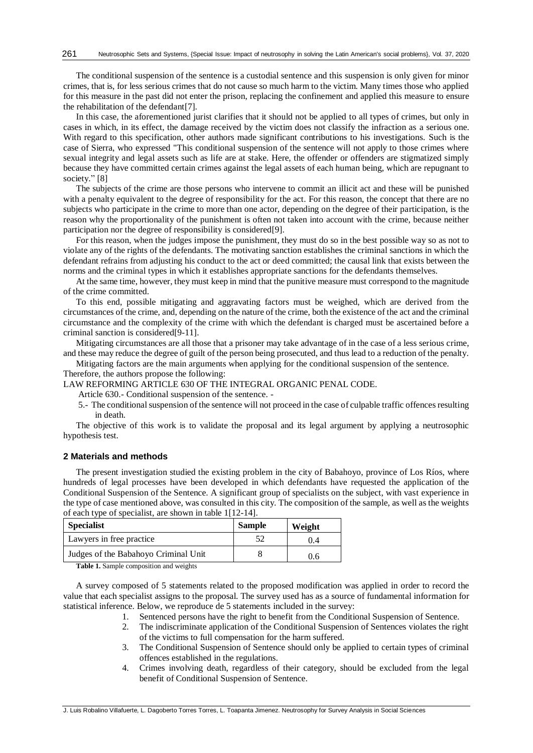The conditional suspension of the sentence is a custodial sentence and this suspension is only given for minor crimes, that is, for less serious crimes that do not cause so much harm to the victim. Many times those who applied for this measure in the past did not enter the prison, replacing the confinement and applied this measure to ensure the rehabilitation of the defendant[7].

In this case, the aforementioned jurist clarifies that it should not be applied to all types of crimes, but only in cases in which, in its effect, the damage received by the victim does not classify the infraction as a serious one. With regard to this specification, other authors made significant contributions to his investigations. Such is the case of Sierra, who expressed "This conditional suspension of the sentence will not apply to those crimes where sexual integrity and legal assets such as life are at stake. Here, the offender or offenders are stigmatized simply because they have committed certain crimes against the legal assets of each human being, which are repugnant to society." [8]

The subjects of the crime are those persons who intervene to commit an illicit act and these will be punished with a penalty equivalent to the degree of responsibility for the act. For this reason, the concept that there are no subjects who participate in the crime to more than one actor, depending on the degree of their participation, is the reason why the proportionality of the punishment is often not taken into account with the crime, because neither participation nor the degree of responsibility is considered[9].

For this reason, when the judges impose the punishment, they must do so in the best possible way so as not to violate any of the rights of the defendants. The motivating sanction establishes the criminal sanctions in which the defendant refrains from adjusting his conduct to the act or deed committed; the causal link that exists between the norms and the criminal types in which it establishes appropriate sanctions for the defendants themselves.

At the same time, however, they must keep in mind that the punitive measure must correspond to the magnitude of the crime committed.

To this end, possible mitigating and aggravating factors must be weighed, which are derived from the circumstances of the crime, and, depending on the nature of the crime, both the existence of the act and the criminal circumstance and the complexity of the crime with which the defendant is charged must be ascertained before a criminal sanction is considered[9-11].

Mitigating circumstances are all those that a prisoner may take advantage of in the case of a less serious crime, and these may reduce the degree of guilt of the person being prosecuted, and thus lead to a reduction of the penalty.

Mitigating factors are the main arguments when applying for the conditional suspension of the sentence.

Therefore, the authors propose the following:

LAW REFORMING ARTICLE 630 OF THE INTEGRAL ORGANIC PENAL CODE.

Article 630.- Conditional suspension of the sentence. -

5.- The conditional suspension of the sentence will not proceed in the case of culpable traffic offences resulting in death.

The objective of this work is to validate the proposal and its legal argument by applying a neutrosophic hypothesis test.

### **2 Materials and methods**

The present investigation studied the existing problem in the city of Babahoyo, province of Los Ríos, where hundreds of legal processes have been developed in which defendants have requested the application of the Conditional Suspension of the Sentence. A significant group of specialists on the subject, with vast experience in the type of case mentioned above, was consulted in this city. The composition of the sample, as well as the weights of each type of specialist, are shown in table 1[12-14].

| <b>Specialist</b>                    | <b>Sample</b> | Weight |
|--------------------------------------|---------------|--------|
| Lawyers in free practice             |               | 0.4    |
| Judges of the Babahoyo Criminal Unit |               | 0.6    |

**Table 1.** Sample composition and weights

A survey composed of 5 statements related to the proposed modification was applied in order to record the value that each specialist assigns to the proposal. The survey used has as a source of fundamental information for statistical inference. Below, we reproduce de 5 statements included in the survey:

- 1. Sentenced persons have the right to benefit from the Conditional Suspension of Sentence.
- 2. The indiscriminate application of the Conditional Suspension of Sentences violates the right of the victims to full compensation for the harm suffered.
- 3. The Conditional Suspension of Sentence should only be applied to certain types of criminal offences established in the regulations.
- 4. Crimes involving death, regardless of their category, should be excluded from the legal benefit of Conditional Suspension of Sentence.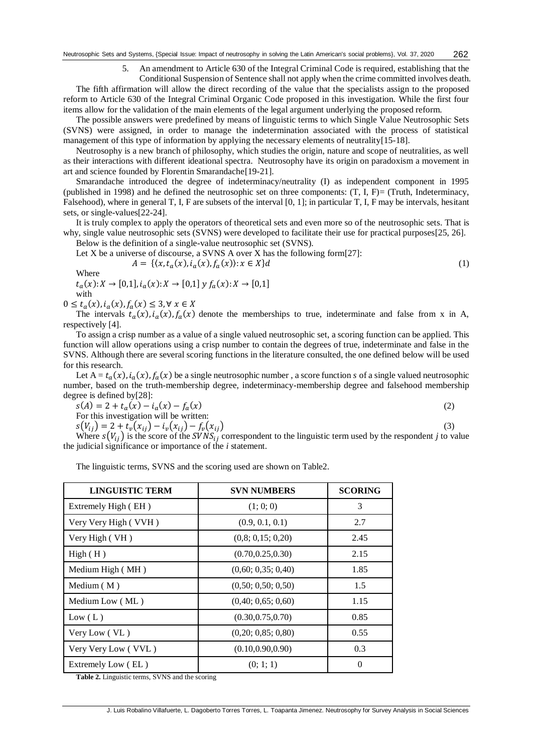5. An amendment to Article 630 of the Integral Criminal Code is required, establishing that the

Conditional Suspension of Sentence shall not apply when the crime committed involves death. The fifth affirmation will allow the direct recording of the value that the specialists assign to the proposed reform to Article 630 of the Integral Criminal Organic Code proposed in this investigation. While the first four items allow for the validation of the main elements of the legal argument underlying the proposed reform.

The possible answers were predefined by means of linguistic terms to which Single Value Neutrosophic Sets (SVNS) were assigned, in order to manage the indetermination associated with the process of statistical management of this type of information by applying the necessary elements of neutrality[15-18].

Neutrosophy is a new branch of philosophy, which studies the origin, nature and scope of neutralities, as well as their interactions with different ideational spectra. Neutrosophy have its origin on paradoxism a movement in art and science founded by Florentin Smarandache[19-21].

Smarandache introduced the degree of indeterminacy/neutrality (I) as independent component in 1995 (published in 1998) and he defined the neutrosophic set on three components:  $(T, I, F) = (Truth, Indeterminacy, I)$ Falsehood), where in general T, I, F are subsets of the interval [0, 1]; in particular T, I, F may be intervals, hesitant sets, or single-values[22-24].

It is truly complex to apply the operators of theoretical sets and even more so of the neutrosophic sets. That is why, single value neutrosophic sets (SVNS) were developed to facilitate their use for practical purposes[25, 26].

Below is the definition of a single-value neutrosophic set (SVNS).

Let X be a universe of discourse, a SVNS A over X has the following form[27]:

$$
A = \{ \langle x, t_a(x), i_a(x), f_a(x) \rangle : x \in X \} d \tag{1}
$$

Wh

$$
t_a(x): X \to [0,1], i_a(x): X \to [0,1] \ y \ f_a(x): X \to [0,1]
$$
  
with

 $0 \le t_a(x), i_a(x), f_a(x) \le 3, \forall x \in X$ 

The intervals  $t_a(x)$ ,  $i_a(x)$ ,  $f_a(x)$  denote the memberships to true, indeterminate and false from x in A, respectively [4].

To assign a crisp number as a value of a single valued neutrosophic set, a scoring function can be applied. This function will allow operations using a crisp number to contain the degrees of true, indeterminate and false in the SVNS. Although there are several scoring functions in the literature consulted, the one defined below will be used for this research.

Let  $A = t_a(x)$ ,  $i_a(x)$ ,  $f_a(x)$  be a single neutrosophic number, a score function *s* of a single valued neutrosophic number, based on the truth-membership degree, indeterminacy-membership degree and falsehood membership degree is defined by[28]:

 $s(A) = 2 + t_a(x) - i_a(x) - f_a$  $(x)$  (2)

For this investigation will be written:

 $s(V_{ij}) = 2 + t_v(x_{ij}) - i_v(x_{ij}) - f_v(x_{ij})$  (3)

Where  $s(V_{ii})$  is the score of the SVNS<sub>i</sub> correspondent to the linguistic term used by the respondent *j* to value the judicial significance or importance of the *i* statement.

The linguistic terms, SVNS and the scoring used are shown on Table2.

| <b>LINGUISTIC TERM</b> | <b>SVN NUMBERS</b> | <b>SCORING</b> |
|------------------------|--------------------|----------------|
| Extremely High (EH)    | (1; 0; 0)          | 3              |
| Very Very High (VVH)   | (0.9, 0.1, 0.1)    | 2.7            |
| Very High (VH)         | (0,8; 0,15; 0,20)  | 2.45           |
| High(H)                | (0.70, 0.25, 0.30) | 2.15           |
| Medium High (MH)       | (0,60; 0,35; 0,40) | 1.85           |
| Medium $(M)$           | (0,50; 0,50; 0,50) | 1.5            |
| Medium Low (ML)        | (0,40; 0,65; 0,60) | 1.15           |
| Low (L)                | (0.30, 0.75, 0.70) | 0.85           |
| Very Low (VL)          | (0,20; 0,85; 0,80) | 0.55           |
| Very Very Low (VVL)    | (0.10, 0.90, 0.90) | 0.3            |
| Extremely Low (EL)     | (0; 1; 1)          | $\Omega$       |

**Table 2.** Linguistic terms, SVNS and the scoring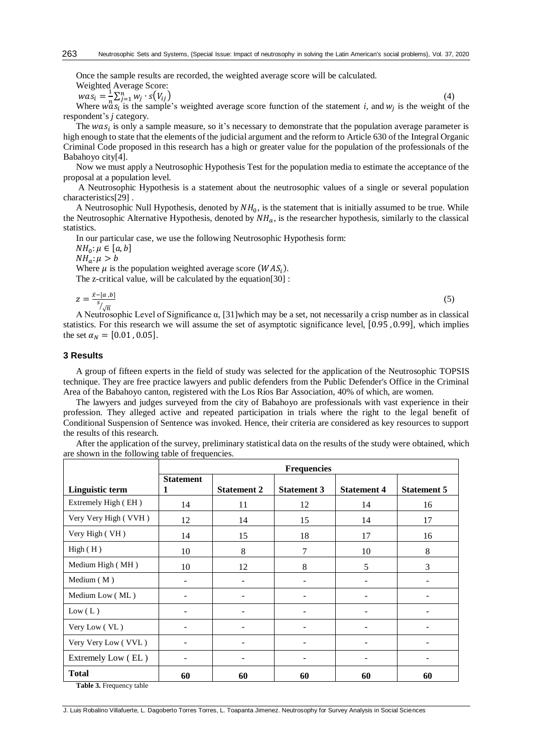Once the sample results are recorded, the weighted average score will be calculated.

Weighted Average Score:

 $was_i = \frac{1}{n}$  $\frac{1}{n}\sum_{j=1}^n w_j \cdot s(V_{ij})$ (4)

Where  $w \, \alpha s_i$  is the sample's weighted average score function of the statement *i*, and  $w_j$  is the weight of the respondent's *j* category.

The  $was_i$  is only a sample measure, so it's necessary to demonstrate that the population average parameter is high enough to state that the elements of the judicial argument and the reform to Article 630 of the Integral Organic Criminal Code proposed in this research has a high or greater value for the population of the professionals of the Babahoyo city[4].

Now we must apply a Neutrosophic Hypothesis Test for the population media to estimate the acceptance of the proposal at a population level.

A Neutrosophic Hypothesis is a statement about the neutrosophic values of a single or several population characteristics[29] .

A Neutrosophic Null Hypothesis, denoted by  $NH_0$ , is the statement that is initially assumed to be true. While the Neutrosophic Alternative Hypothesis, denoted by  $NH_a$ , is the researcher hypothesis, similarly to the classical statistics.

In our particular case, we use the following Neutrosophic Hypothesis form:

 $NH_0: \mu \in [a, b]$ 

 $NH<sub>a</sub>: \mu > b$ 

Where  $\mu$  is the population weighted average score ( $WAS_i$ ). The z-critical value, will be calculated by the equation[30] :

 $z = \frac{\bar{x} - [a, b]}{s}$  $\frac{s}{\sqrt{n}}$  $(5)$ A Neutrosophic Level of Significance α, [31]which may be a set, not necessarily a crisp number as in classical

statistics. For this research we will assume the set of asymptotic significance level, [0.95 , 0.99], which implies the set  $\alpha_N = [0.01, 0.05]$ .

#### **3 Results**

A group of fifteen experts in the field of study was selected for the application of the Neutrosophic TOPSIS technique. They are free practice lawyers and public defenders from the Public Defender's Office in the Criminal Area of the Babahoyo canton, registered with the Los Ríos Bar Association, 40% of which, are women.

The lawyers and judges surveyed from the city of Babahoyo are professionals with vast experience in their profession. They alleged active and repeated participation in trials where the right to the legal benefit of Conditional Suspension of Sentence was invoked. Hence, their criteria are considered as key resources to support the results of this research.

After the application of the survey, preliminary statistical data on the results of the study were obtained, which are shown in the following table of frequencies.

|                                                         | <b>Frequencies</b>    |                    |                    |                    |                    |  |
|---------------------------------------------------------|-----------------------|--------------------|--------------------|--------------------|--------------------|--|
| Linguistic term                                         | <b>Statement</b><br>1 | <b>Statement 2</b> | <b>Statement 3</b> | <b>Statement 4</b> | <b>Statement 5</b> |  |
| Extremely High (EH)                                     | 14                    | 11                 | 12                 | 14                 | 16                 |  |
| Very Very High (VVH)                                    | 12                    | 14                 | 15                 | 14                 | 17                 |  |
| Very High (VH)                                          | 14                    | 15                 | 18                 | 17                 | 16                 |  |
| High(H)                                                 | 10                    | 8                  | 7                  | 10                 | 8                  |  |
| Medium High (MH)                                        | 10                    | 12                 | 8                  | 5                  | 3                  |  |
| Medium $(M)$                                            |                       |                    |                    |                    |                    |  |
| Medium Low (ML)                                         |                       |                    |                    |                    |                    |  |
| Low (L)                                                 |                       |                    |                    |                    |                    |  |
| Very Low (VL)                                           |                       |                    |                    |                    |                    |  |
| Very Very Low (VVL)                                     |                       |                    |                    |                    |                    |  |
| Extremely Low (EL)                                      | ۰                     |                    |                    |                    |                    |  |
| <b>Total</b><br>$\mathbf{m}$ is a $\mathbf{m}$<br>$-11$ | 60                    | 60                 | 60                 | 60                 | 60                 |  |

**Table 3.** Frequency table

J. Luis Robalino Villafuerte, L. Dagoberto Torres Torres, L. Toapanta Jimenez. Neutrosophy for Survey Analysis in Social Sciences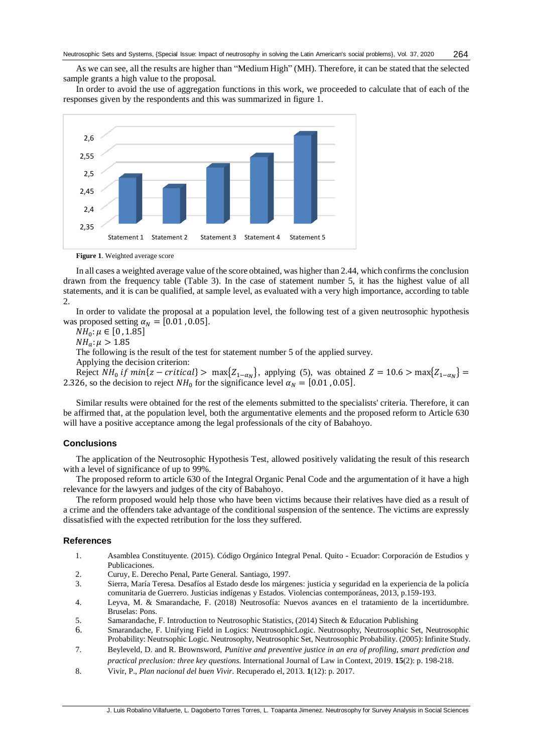As we can see, all the results are higher than "Medium High" (MH). Therefore, it can be stated that the selected sample grants a high value to the proposal.

In order to avoid the use of aggregation functions in this work, we proceeded to calculate that of each of the responses given by the respondents and this was summarized in figure 1.



**Figure 1**. Weighted average score

In all cases a weighted average value of the score obtained, was higher than 2.44, which confirms the conclusion drawn from the frequency table (Table 3). In the case of statement number 5, it has the highest value of all statements, and it is can be qualified, at sample level, as evaluated with a very high importance, according to table 2.

In order to validate the proposal at a population level, the following test of a given neutrosophic hypothesis was proposed setting  $\alpha_N = [0.01, 0.05]$ .

 $NH_0: \mu \in [0, 1.85]$ 

 $NH_a: \mu > 1.85$ 

The following is the result of the test for statement number 5 of the applied survey.

Applying the decision criterion:

Reject  $NH_0$  if  $min\{z-critical\} > max\{Z_{1-\alpha_N}\}\$ , applying (5), was obtained  $Z = 10.6 > max\{Z_{1-\alpha_N}\}\$ 2.326, so the decision to reject  $NH_0$  for the significance level  $\alpha_N = [0.01, 0.05]$ .

Similar results were obtained for the rest of the elements submitted to the specialists' criteria. Therefore, it can be affirmed that, at the population level, both the argumentative elements and the proposed reform to Article 630 will have a positive acceptance among the legal professionals of the city of Babahoyo.

#### **Conclusions**

The application of the Neutrosophic Hypothesis Test, allowed positively validating the result of this research with a level of significance of up to 99%.

The proposed reform to article 630 of the Integral Organic Penal Code and the argumentation of it have a high relevance for the lawyers and judges of the city of Babahoyo.

The reform proposed would help those who have been victims because their relatives have died as a result of a crime and the offenders take advantage of the conditional suspension of the sentence. The victims are expressly dissatisfied with the expected retribution for the loss they suffered.

#### **References**

- 1. Asamblea Constituyente. (2015). Código Orgánico Integral Penal. Quito Ecuador: Corporación de Estudios y Publicaciones.
- 2. Curuy, E. Derecho Penal, Parte General. Santiago, 1997.
- 3. Sierra, María Teresa. Desafíos al Estado desde los márgenes: justicia y seguridad en la experiencia de la policía comunitaria de Guerrero. Justicias indígenas y Estados. Violencias contemporáneas, 2013, p.159-193.
- 4. Leyva, M. & Smarandache, F. (2018) Neutrosofía: Nuevos avances en el tratamiento de la incertidumbre. Bruselas: Pons.
- 5. Samarandache, F. Introduction to Neutrosophic Statistics, (2014) Sitech & Education Publishing
- 6. Smarandache, F. Unifying Field in Logics: NeutrosophicLogic. Neutrosophy, Neutrosophic Set, Neutrosophic Probability: Neutrsophic Logic. Neutrosophy, Neutrosophic Set, Neutrosophic Probability. (2005): Infinite Study.
- 7. Beyleveld, D. and R. Brownsword, *Punitive and preventive justice in an era of profiling, smart prediction and practical preclusion: three key questions.* International Journal of Law in Context, 2019. **15**(2): p. 198-218.
- 8. Vivir, P., *Plan nacional del buen Vivir.* Recuperado el, 2013. **1**(12): p. 2017.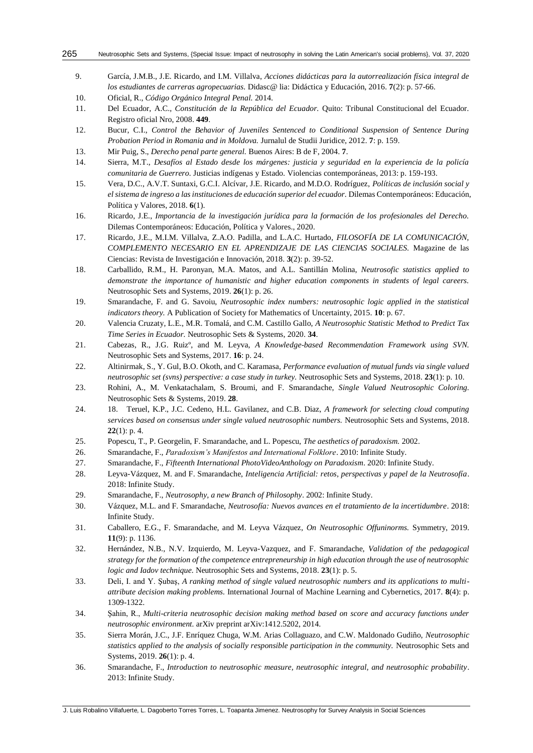9. García, J.M.B., J.E. Ricardo, and I.M. Villalva, *Acciones didácticas para la autorrealización física integral de los estudiantes de carreras agropecuarias.* Didasc@ lia: Didáctica y Educación, 2016. **7**(2): p. 57-66.

10. Oficial, R., *Código Orgánico Integral Penal.* 2014.

- 11. Del Ecuador, A.C., *Constitución de la República del Ecuador.* Quito: Tribunal Constitucional del Ecuador. Registro oficial Nro, 2008. **449**.
- 12. Bucur, C.I., *Control the Behavior of Juveniles Sentenced to Conditional Suspension of Sentence During Probation Period in Romania and in Moldova.* Jurnalul de Studii Juridice, 2012. **7**: p. 159.
- 13. Mir Puig, S., *Derecho penal parte general.* Buenos Aires: B de F, 2004. **7**.
- 14. Sierra, M.T., *Desafíos al Estado desde los márgenes: justicia y seguridad en la experiencia de la policía comunitaria de Guerrero.* Justicias indígenas y Estado. Violencias contemporáneas, 2013: p. 159-193.
- 15. Vera, D.C., A.V.T. Suntaxi, G.C.I. Alcívar, J.E. Ricardo, and M.D.O. Rodríguez, *Políticas de inclusión social y el sistema de ingreso a las instituciones de educación superior del ecuador.* Dilemas Contemporáneos: Educación, Política y Valores, 2018. **6**(1).
- 16. Ricardo, J.E., *Importancia de la investigación jurídica para la formación de los profesionales del Derecho.* Dilemas Contemporáneos: Educación, Política y Valores., 2020.
- 17. Ricardo, J.E., M.I.M. Villalva, Z.A.O. Padilla, and L.A.C. Hurtado, *FILOSOFÍA DE LA COMUNICACIÓN, COMPLEMENTO NECESARIO EN EL APRENDIZAJE DE LAS CIENCIAS SOCIALES.* Magazine de las Ciencias: Revista de Investigación e Innovación, 2018. **3**(2): p. 39-52.
- 18. Carballido, R.M., H. Paronyan, M.A. Matos, and A.L. Santillán Molina, *Neutrosofic statistics applied to demonstrate the importance of humanistic and higher education components in students of legal careers.* Neutrosophic Sets and Systems, 2019. **26**(1): p. 26.
- 19. Smarandache, F. and G. Savoiu, *Neutrosophic index numbers: neutrosophic logic applied in the statistical indicators theory.* A Publication of Society for Mathematics of Uncertainty, 2015. **10**: p. 67.
- 20. Valencia Cruzaty, L.E., M.R. Tomalá, and C.M. Castillo Gallo, *A Neutrosophic Statistic Method to Predict Tax Time Series in Ecuador.* Neutrosophic Sets & Systems, 2020. **34**.
- 21. Cabezas, R., J.G. Ruizº, and M. Leyva, *A Knowledge-based Recommendation Framework using SVN.* Neutrosophic Sets and Systems, 2017. **16**: p. 24.
- 22. Altinirmak, S., Y. Gul, B.O. Okoth, and C. Karamasa, *Performance evaluation of mutual funds via single valued neutrosophic set (svns) perspective: a case study in turkey.* Neutrosophic Sets and Systems, 2018. **23**(1): p. 10.
- 23. Rohini, A., M. Venkatachalam, S. Broumi, and F. Smarandache, *Single Valued Neutrosophic Coloring.* Neutrosophic Sets & Systems, 2019. **28**.
- 24. 18. Teruel, K.P., J.C. Cedeno, H.L. Gavilanez, and C.B. Diaz, *A framework for selecting cloud computing services based on consensus under single valued neutrosophic numbers.* Neutrosophic Sets and Systems, 2018. **22**(1): p. 4.
- 25. Popescu, T., P. Georgelin, F. Smarandache, and L. Popescu, *The aesthetics of paradoxism.* 2002.
- 26. Smarandache, F., *Paradoxism's Manifestos and International Folklore*. 2010: Infinite Study.
- 27. Smarandache, F., *Fifteenth International PhotoVideoAnthology on Paradoxism*. 2020: Infinite Study.
- 28. Leyva-Vázquez, M. and F. Smarandache, *Inteligencia Artificial: retos, perspectivas y papel de la Neutrosofía*. 2018: Infinite Study.
- 29. Smarandache, F., *Neutrosophy, a new Branch of Philosophy*. 2002: Infinite Study.
- 30. Vázquez, M.L. and F. Smarandache, *Neutrosofía: Nuevos avances en el tratamiento de la incertidumbre*. 2018: Infinite Study.
- 31. Caballero, E.G., F. Smarandache, and M. Leyva Vázquez, *On Neutrosophic Offuninorms.* Symmetry, 2019. **11**(9): p. 1136.
- 32. Hernández, N.B., N.V. Izquierdo, M. Leyva-Vazquez, and F. Smarandache, *Validation of the pedagogical strategy for the formation of the competence entrepreneurship in high education through the use of neutrosophic logic and Iadov technique.* Neutrosophic Sets and Systems, 2018. **23**(1): p. 5.
- 33. Deli, I. and Y. Şubaş, *A ranking method of single valued neutrosophic numbers and its applications to multiattribute decision making problems.* International Journal of Machine Learning and Cybernetics, 2017. **8**(4): p. 1309-1322.
- 34. Şahin, R., *Multi-criteria neutrosophic decision making method based on score and accuracy functions under neutrosophic environment.* arXiv preprint arXiv:1412.5202, 2014.
- 35. Sierra Morán, J.C., J.F. Enríquez Chuga, W.M. Arias Collaguazo, and C.W. Maldonado Gudiño, *Neutrosophic statistics applied to the analysis of socially responsible participation in the community.* Neutrosophic Sets and Systems, 2019. **26**(1): p. 4.
- 36. Smarandache, F., *Introduction to neutrosophic measure, neutrosophic integral, and neutrosophic probability*. 2013: Infinite Study.